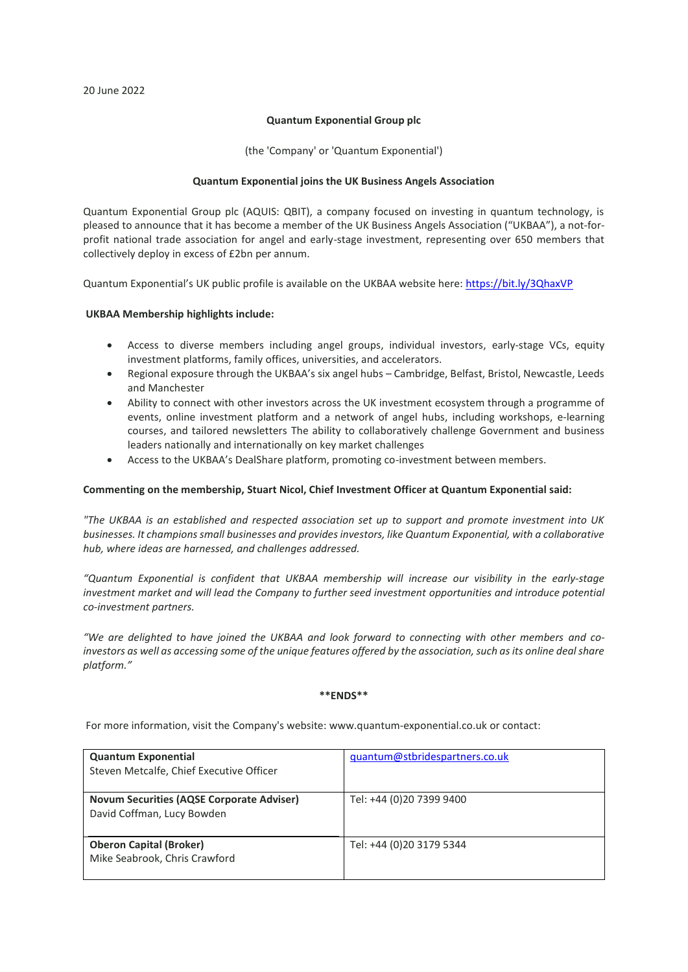## **Quantum Exponential Group plc**

(the 'Company' or 'Quantum Exponential')

## **Quantum Exponential joins the UK Business Angels Association**

Quantum Exponential Group plc (AQUIS: QBIT), a company focused on investing in quantum technology, is pleased to announce that it has become a member of the UK Business Angels Association ("UKBAA"), a not-forprofit national trade association for angel and early-stage investment, representing over 650 members that collectively deploy in excess of £2bn per annum.

Quantum Exponential's UK public profile is available on the UKBAA website here:<https://bit.ly/3QhaxVP>

## **UKBAA Membership highlights include:**

- Access to diverse members including angel groups, individual investors, early-stage VCs, equity investment platforms, family offices, universities, and accelerators.
- Regional exposure through the UKBAA's six angel hubs Cambridge, Belfast, Bristol, Newcastle, Leeds and Manchester
- Ability to connect with other investors across the UK investment ecosystem through a programme of events, online investment platform and a network of angel hubs, including workshops, e-learning courses, and tailored newsletters The ability to collaboratively challenge Government and business leaders nationally and internationally on key market challenges
- Access to the UKBAA's DealShare platform, promoting co-investment between members.

# **Commenting on the membership, Stuart Nicol, Chief Investment Officer at Quantum Exponential said:**

*"The UKBAA is an established and respected association set up to support and promote investment into UK businesses. It champions small businesses and provides investors, like Quantum Exponential, with a collaborative hub, where ideas are harnessed, and challenges addressed.*

*"Quantum Exponential is confident that UKBAA membership will increase our visibility in the early-stage investment market and will lead the Company to further seed investment opportunities and introduce potential co-investment partners.*

*"We are delighted to have joined the UKBAA and look forward to connecting with other members and coinvestors as well as accessing some of the unique features offered by the association, such as its online deal share platform."*

#### **\*\*ENDS\*\***

For more information, visit the Company's website: [www.quantum-exponential.co.uk](http://www.quantum-exponential.co.uk/) or contact:

| <b>Quantum Exponential</b>                       | quantum@stbridespartners.co.uk |
|--------------------------------------------------|--------------------------------|
| Steven Metcalfe, Chief Executive Officer         |                                |
|                                                  |                                |
| <b>Novum Securities (AQSE Corporate Adviser)</b> | Tel: +44 (0)20 7399 9400       |
| David Coffman, Lucy Bowden                       |                                |
|                                                  |                                |
| <b>Oberon Capital (Broker)</b>                   | Tel: +44 (0)20 3179 5344       |
|                                                  |                                |
| Mike Seabrook, Chris Crawford                    |                                |
|                                                  |                                |